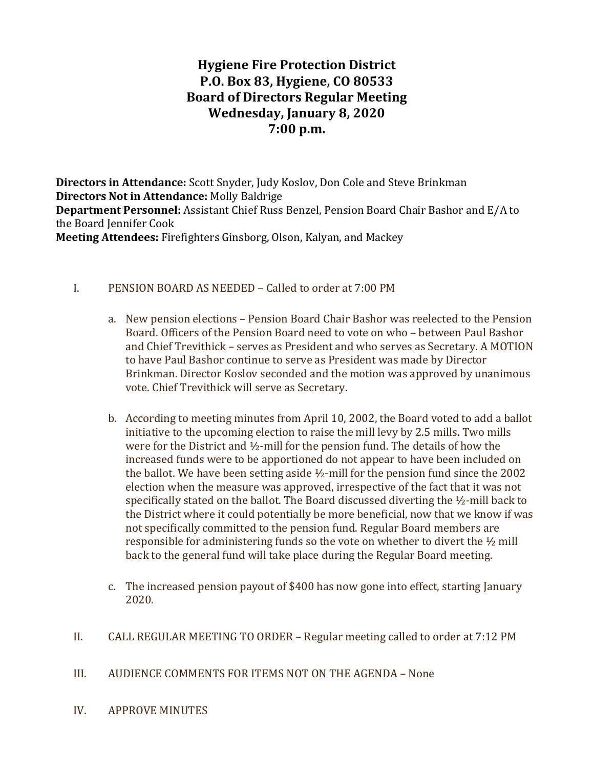# Hygiene Fire Protection District P.O. Box 83, Hygiene, CO 80533 Board of Directors Regular Meeting Wednesday, January 8, 2020 7:00 p.m.

Directors in Attendance: Scott Snyder, Judy Koslov, Don Cole and Steve Brinkman Directors Not in Attendance: Molly Baldrige Department Personnel: Assistant Chief Russ Benzel, Pension Board Chair Bashor and E/A to the Board Jennifer Cook Meeting Attendees: Firefighters Ginsborg, Olson, Kalyan, and Mackey

#### I. PENSION BOARD AS NEEDED – Called to order at 7:00 PM

- a. New pension elections Pension Board Chair Bashor was reelected to the Pension Board. Officers of the Pension Board need to vote on who – between Paul Bashor and Chief Trevithick – serves as President and who serves as Secretary. A MOTION to have Paul Bashor continue to serve as President was made by Director Brinkman. Director Koslov seconded and the motion was approved by unanimous vote. Chief Trevithick will serve as Secretary.
- b. According to meeting minutes from April 10, 2002, the Board voted to add a ballot initiative to the upcoming election to raise the mill levy by 2.5 mills. Two mills were for the District and ½-mill for the pension fund. The details of how the increased funds were to be apportioned do not appear to have been included on the ballot. We have been setting aside  $\frac{1}{2}$ -mill for the pension fund since the 2002 election when the measure was approved, irrespective of the fact that it was not specifically stated on the ballot. The Board discussed diverting the ½-mill back to the District where it could potentially be more beneficial, now that we know if was not specifically committed to the pension fund. Regular Board members are responsible for administering funds so the vote on whether to divert the ½ mill back to the general fund will take place during the Regular Board meeting.
- c. The increased pension payout of \$400 has now gone into effect, starting January 2020.
- II. CALL REGULAR MEETING TO ORDER Regular meeting called to order at 7:12 PM
- III. AUDIENCE COMMENTS FOR ITEMS NOT ON THE AGENDA None
- IV. APPROVE MINUTES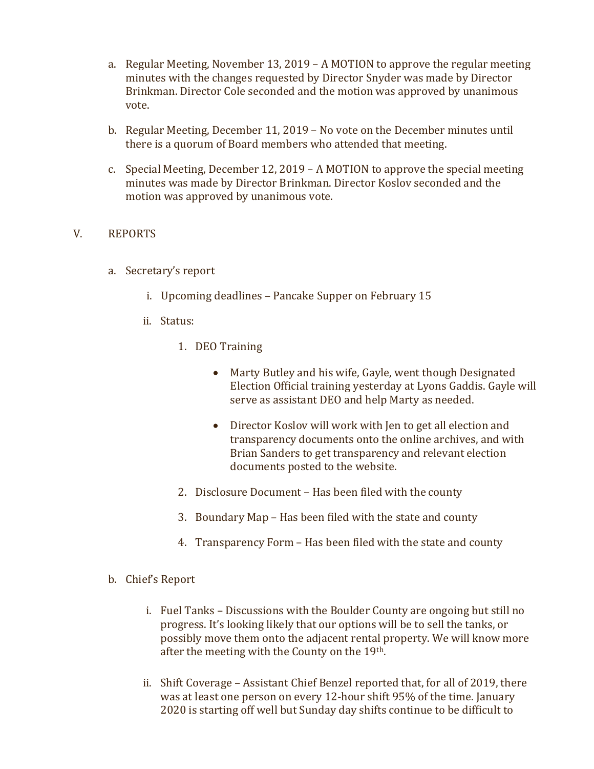- a. Regular Meeting, November 13, 2019 A MOTION to approve the regular meeting minutes with the changes requested by Director Snyder was made by Director Brinkman. Director Cole seconded and the motion was approved by unanimous vote.
- b. Regular Meeting, December 11, 2019 No vote on the December minutes until there is a quorum of Board members who attended that meeting.
- c. Special Meeting, December 12, 2019 A MOTION to approve the special meeting minutes was made by Director Brinkman. Director Koslov seconded and the motion was approved by unanimous vote.

## V. REPORTS

- a. Secretary's report
	- i. Upcoming deadlines Pancake Supper on February 15
	- ii. Status:
		- 1. DEO Training
			- Marty Butley and his wife, Gayle, went though Designated Election Official training yesterday at Lyons Gaddis. Gayle will serve as assistant DEO and help Marty as needed.
			- Director Koslov will work with Jen to get all election and transparency documents onto the online archives, and with Brian Sanders to get transparency and relevant election documents posted to the website.
		- 2. Disclosure Document Has been filed with the county
		- 3. Boundary Map Has been filed with the state and county
		- 4. Transparency Form Has been filed with the state and county
- b. Chief's Report
	- i. Fuel Tanks Discussions with the Boulder County are ongoing but still no progress. It's looking likely that our options will be to sell the tanks, or possibly move them onto the adjacent rental property. We will know more after the meeting with the County on the 19th.
	- ii. Shift Coverage Assistant Chief Benzel reported that, for all of 2019, there was at least one person on every 12-hour shift 95% of the time. January 2020 is starting off well but Sunday day shifts continue to be difficult to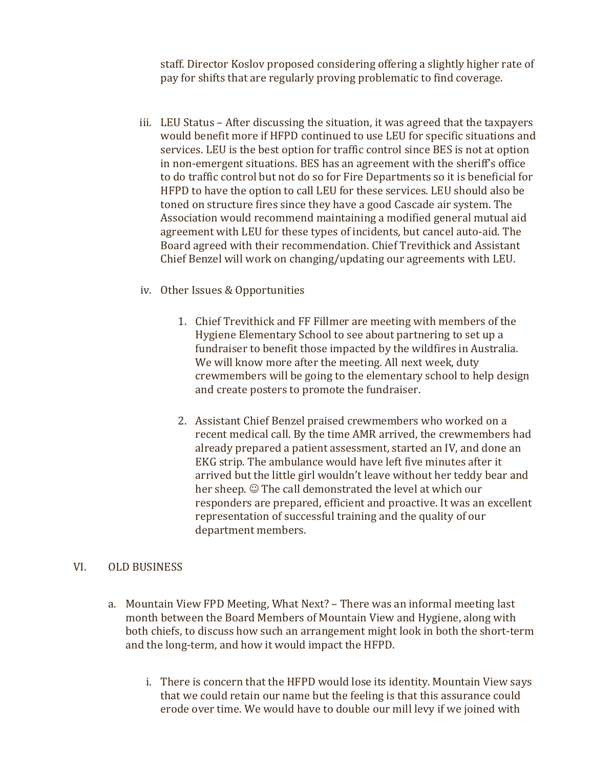staff. Director Koslov proposed considering offering a slightly higher rate of pay for shifts that are regularly proving problematic to find coverage.

- iii. LEU Status After discussing the situation, it was agreed that the taxpayers would benefit more if HFPD continued to use LEU for specific situations and services. LEU is the best option for traffic control since BES is not at option in non-emergent situations. BES has an agreement with the sheriff's office to do traffic control but not do so for Fire Departments so it is beneficial for HFPD to have the option to call LEU for these services. LEU should also be toned on structure fires since they have a good Cascade air system. The Association would recommend maintaining a modified general mutual aid agreement with LEU for these types of incidents, but cancel auto-aid. The Board agreed with their recommendation. Chief Trevithick and Assistant Chief Benzel will work on changing/updating our agreements with LEU.
- iv. Other Issues & Opportunities
	- 1. Chief Trevithick and FF Fillmer are meeting with members of the Hygiene Elementary School to see about partnering to set up a fundraiser to benefit those impacted by the wildfires in Australia. We will know more after the meeting. All next week, duty crewmembers will be going to the elementary school to help design and create posters to promote the fundraiser.
	- 2. Assistant Chief Benzel praised crewmembers who worked on a recent medical call. By the time AMR arrived, the crewmembers had already prepared a patient assessment, started an IV, and done an EKG strip. The ambulance would have left five minutes after it arrived but the little girl wouldn't leave without her teddy bear and her sheep.  $\odot$  The call demonstrated the level at which our responders are prepared, efficient and proactive. It was an excellent representation of successful training and the quality of our department members.

# VI. OLD BUSINESS

- a. Mountain View FPD Meeting, What Next? There was an informal meeting last month between the Board Members of Mountain View and Hygiene, along with both chiefs, to discuss how such an arrangement might look in both the short-term and the long-term, and how it would impact the HFPD.
	- i. There is concern that the HFPD would lose its identity. Mountain View says that we could retain our name but the feeling is that this assurance could erode over time. We would have to double our mill levy if we joined with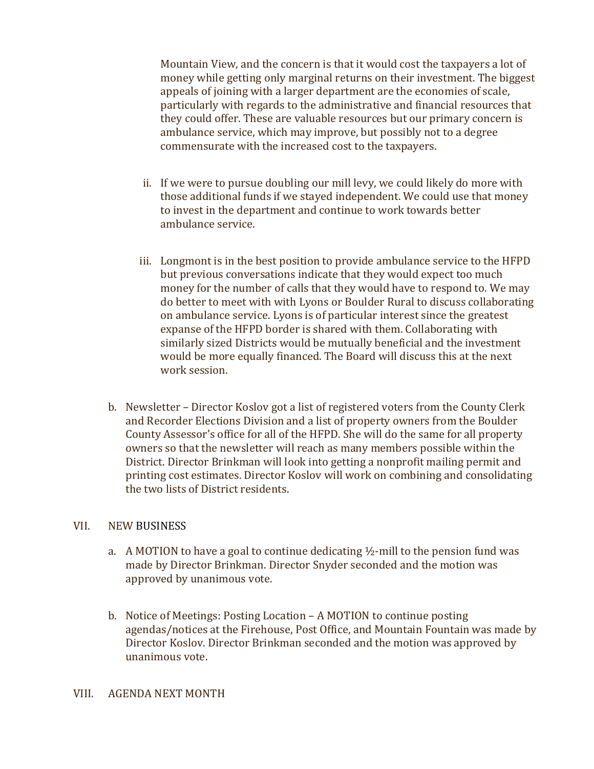Mountain View, and the concern is that it would cost the taxpayers a lot of money while getting only marginal returns on their investment. The biggest appeals of joining with a larger department are the economies of scale, particularly with regards to the administrative and financial resources that they could offer. These are valuable resources but our primary concern is ambulance service, which may improve, but possibly not to a degree commensurate with the increased cost to the taxpayers.

- ii. If we were to pursue doubling our mill levy, we could likely do more with those additional funds if we stayed independent. We could use that money to invest in the department and continue to work towards better ambulance service.
- iii. Longmont is in the best position to provide ambulance service to the HFPD but previous conversations indicate that they would expect too much money for the number of calls that they would have to respond to. We may do better to meet with with Lyons or Boulder Rural to discuss collaborating on ambulance service. Lyons is of particular interest since the greatest expanse of the HFPD border is shared with them. Collaborating with similarly sized Districts would be mutually beneficial and the investment would be more equally financed. The Board will discuss this at the next work session.
- b. Newsletter Director Koslov got a list of registered voters from the County Clerk and Recorder Elections Division and a list of property owners from the Boulder County Assessor's office for all of the HFPD. She will do the same for all property owners so that the newsletter will reach as many members possible within the District. Director Brinkman will look into getting a nonprofit mailing permit and printing cost estimates. Director Koslov will work on combining and consolidating the two lists of District residents.

#### VII. NEW BUSINESS

- a. A MOTION to have a goal to continue dedicating  $\frac{1}{2}$ -mill to the pension fund was made by Director Brinkman. Director Snyder seconded and the motion was approved by unanimous vote.
- b. Notice of Meetings: Posting Location A MOTION to continue posting agendas/notices at the Firehouse, Post Office, and Mountain Fountain was made by Director Koslov. Director Brinkman seconded and the motion was approved by unanimous vote.

#### VIII. AGENDA NEXT MONTH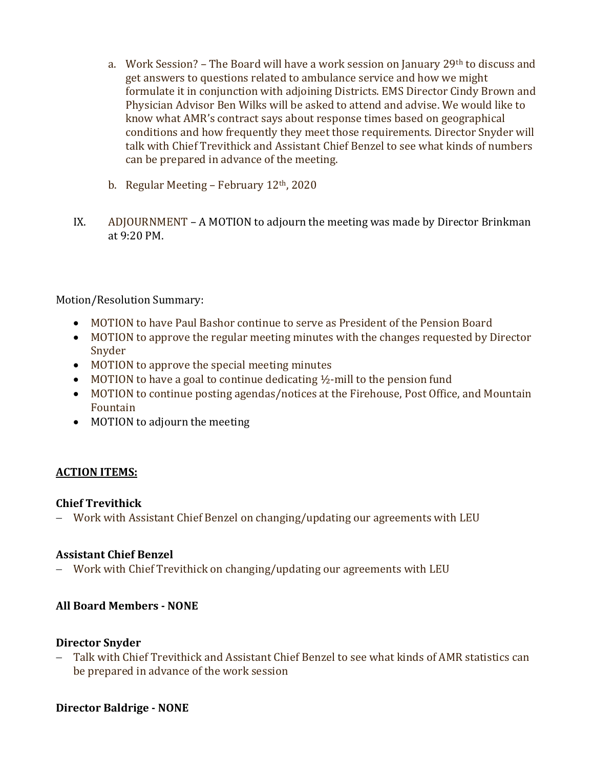- a. Work Session? The Board will have a work session on January 29<sup>th</sup> to discuss and get answers to questions related to ambulance service and how we might formulate it in conjunction with adjoining Districts. EMS Director Cindy Brown and Physician Advisor Ben Wilks will be asked to attend and advise. We would like to know what AMR's contract says about response times based on geographical conditions and how frequently they meet those requirements. Director Snyder will talk with Chief Trevithick and Assistant Chief Benzel to see what kinds of numbers can be prepared in advance of the meeting.
- b. Regular Meeting February  $12<sup>th</sup>$ , 2020
- IX. ADJOURNMENT A MOTION to adjourn the meeting was made by Director Brinkman at 9:20 PM.

# Motion/Resolution Summary:

- MOTION to have Paul Bashor continue to serve as President of the Pension Board
- MOTION to approve the regular meeting minutes with the changes requested by Director Snyder
- MOTION to approve the special meeting minutes
- $\bullet$  MOTION to have a goal to continue dedicating  $\frac{1}{2}$ -mill to the pension fund
- MOTION to continue posting agendas/notices at the Firehouse, Post Office, and Mountain Fountain
- MOTION to adjourn the meeting

## ACTION ITEMS:

## Chief Trevithick

Work with Assistant Chief Benzel on changing/updating our agreements with LEU

## Assistant Chief Benzel

Work with Chief Trevithick on changing/updating our agreements with LEU

## All Board Members - NONE

## Director Snyder

 Talk with Chief Trevithick and Assistant Chief Benzel to see what kinds of AMR statistics can be prepared in advance of the work session

## Director Baldrige - NONE